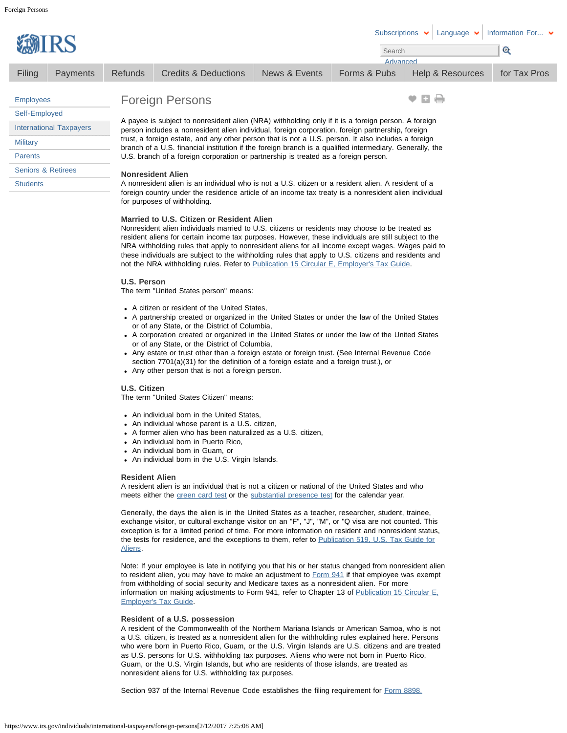|                                | EMIRS           |                                                                                                                                                                                                                                                                                                                                                                                                                                                                                                                    |                                 |               | <b>Subscriptions</b><br>Search<br>Advanced | Language         | Information For $\blacktriangleright$<br><b>Com</b> |  |  |  |
|--------------------------------|-----------------|--------------------------------------------------------------------------------------------------------------------------------------------------------------------------------------------------------------------------------------------------------------------------------------------------------------------------------------------------------------------------------------------------------------------------------------------------------------------------------------------------------------------|---------------------------------|---------------|--------------------------------------------|------------------|-----------------------------------------------------|--|--|--|
| Filing                         | <b>Payments</b> | <b>Refunds</b>                                                                                                                                                                                                                                                                                                                                                                                                                                                                                                     | <b>Credits &amp; Deductions</b> | News & Events | Forms & Pubs                               | Help & Resources | for Tax Pros                                        |  |  |  |
| <b>Employees</b>               |                 | <b>Foreign Persons</b>                                                                                                                                                                                                                                                                                                                                                                                                                                                                                             |                                 |               | <b>C</b>                                   |                  |                                                     |  |  |  |
| Self-Employed                  |                 |                                                                                                                                                                                                                                                                                                                                                                                                                                                                                                                    |                                 |               |                                            |                  |                                                     |  |  |  |
| <b>International Taxpayers</b> |                 | A payee is subject to nonresident alien (NRA) withholding only if it is a foreign person. A foreign<br>person includes a nonresident alien individual, foreign corporation, foreign partnership, foreign<br>trust, a foreign estate, and any other person that is not a U.S. person. It also includes a foreign<br>branch of a U.S. financial institution if the foreign branch is a qualified intermediary. Generally, the<br>U.S. branch of a foreign corporation or partnership is treated as a foreign person. |                                 |               |                                            |                  |                                                     |  |  |  |
| <b>Military</b>                |                 |                                                                                                                                                                                                                                                                                                                                                                                                                                                                                                                    |                                 |               |                                            |                  |                                                     |  |  |  |
| <b>Parents</b>                 |                 |                                                                                                                                                                                                                                                                                                                                                                                                                                                                                                                    |                                 |               |                                            |                  |                                                     |  |  |  |
| <b>Seniors &amp; Retirees</b>  |                 |                                                                                                                                                                                                                                                                                                                                                                                                                                                                                                                    | <b>Nonresident Alien</b>        |               |                                            |                  |                                                     |  |  |  |
| <b>Students</b>                |                 | A nonresident alien is an individual who is not a U.S. citizen or a resident alien. A resident of a                                                                                                                                                                                                                                                                                                                                                                                                                |                                 |               |                                            |                  |                                                     |  |  |  |
|                                |                 | foreign country under the residence article of an income tax treaty is a nonresident alien individual<br>for purposes of withholding.                                                                                                                                                                                                                                                                                                                                                                              |                                 |               |                                            |                  |                                                     |  |  |  |
|                                |                 | Married to U.S. Citizen or Resident Alien                                                                                                                                                                                                                                                                                                                                                                                                                                                                          |                                 |               |                                            |                  |                                                     |  |  |  |

Nonresident alien individuals married to U.S. citizens or residents may choose to be treated as resident aliens for certain income tax purposes. However, these individuals are still subject to the NRA withholding rules that apply to nonresident aliens for all income except wages. Wages paid to these individuals are subject to the withholding rules that apply to U.S. citizens and residents and not the NRA withholding rules. Refer to [Publication 15 Circular E, Employer's Tax Guide.](https://www.irs.gov/publications/p15/index.html)

# **U.S. Person**

The term "United States person" means:

- A citizen or resident of the United States,
- A partnership created or organized in the United States or under the law of the United States or of any State, or the District of Columbia,
- A corporation created or organized in the United States or under the law of the United States or of any State, or the District of Columbia,
- Any estate or trust other than a foreign estate or foreign trust. (See Internal Revenue Code section 7701(a)(31) for the definition of a foreign estate and a foreign trust.), or
- Any other person that is not a foreign person.

# **U.S. Citizen**

The term "United States Citizen" means:

- An individual born in the United States,
- An individual whose parent is a U.S. citizen,
- A former alien who has been naturalized as a U.S. citizen,
- An individual born in Puerto Rico,
- An individual born in Guam, or
- An individual born in the U.S. Virgin Islands.

# **Resident Alien**

A resident alien is an individual that is not a citizen or national of the United States and who meets either the [green card test](https://www.irs.gov/individuals/international-taxpayers/alien-residency-green-card-test) or the [substantial presence test](https://www.irs.gov/individuals/international-taxpayers/substantial-presence-test) for the calendar year.

Generally, the days the alien is in the United States as a teacher, researcher, student, trainee, exchange visitor, or cultural exchange visitor on an "F", "J", "M", or "Q visa are not counted. This exception is for a limited period of time. For more information on resident and nonresident status, the tests for residence, and the exceptions to them, refer to **Publication 519**, U.S. Tax Guide for [Aliens.](https://www.irs.gov/uac/about-publication-519)

Note: If your employee is late in notifying you that his or her status changed from nonresident alien to resident alien, you may have to make an adjustment to [Form 941](https://www.irs.gov/uac/about-form-941) if that employee was exempt from withholding of social security and Medicare taxes as a nonresident alien. For more information on making adjustments to Form 941, refer to Chapter 13 of Publication 15 Circular E. [Employer's Tax Guide.](https://www.irs.gov/uac/about-publication-15)

# **Resident of a U.S. possession**

A resident of the Commonwealth of the Northern Mariana Islands or American Samoa, who is not a U.S. citizen, is treated as a nonresident alien for the withholding rules explained here. Persons who were born in Puerto Rico, Guam, or the U.S. Virgin Islands are U.S. citizens and are treated as U.S. persons for U.S. withholding tax purposes. Aliens who were not born in Puerto Rico, Guam, or the U.S. Virgin Islands, but who are residents of those islands, are treated as nonresident aliens for U.S. withholding tax purposes.

Section 937 of the Internal Revenue Code establishes the filing requirement for [Form 8898,](https://www.irs.gov/uac/Form-8898,-Statement-for-Individuals-Who-Begin-or-End-Bona-Fide-Residence-in-a-U.S.-Possession)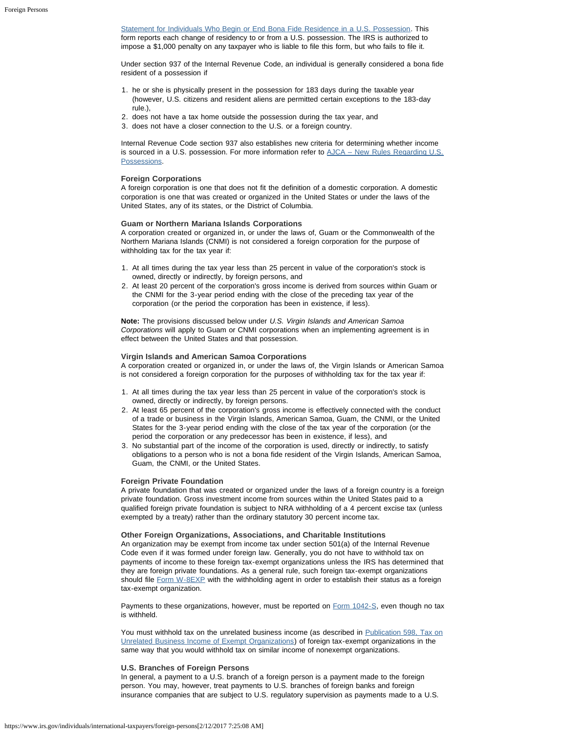[Statement for Individuals Who Begin or End Bona Fide Residence in a U.S. Possession.](https://www.irs.gov/uac/Form-8898,-Statement-for-Individuals-Who-Begin-or-End-Bona-Fide-Residence-in-a-U.S.-Possession) This form reports each change of residency to or from a U.S. possession. The IRS is authorized to impose a \$1,000 penalty on any taxpayer who is liable to file this form, but who fails to file it.

Under section 937 of the Internal Revenue Code, an individual is generally considered a bona fide resident of a possession if

- 1. he or she is physically present in the possession for 183 days during the taxable year (however, U.S. citizens and resident aliens are permitted certain exceptions to the 183-day rule.),
- 2. does not have a tax home outside the possession during the tax year, and
- 3. does not have a closer connection to the U.S. or a foreign country.

Internal Revenue Code section 937 also establishes new criteria for determining whether income is sourced in a U.S. possession. For more information refer to  $AJCA - New Rules Regarding U.S.$ [Possessions.](https://www.irs.gov/individuals/international-taxpayers/american-jobs-creation-act-rules-regarding-u-s-possessions)

### **Foreign Corporations**

A foreign corporation is one that does not fit the definition of a domestic corporation. A domestic corporation is one that was created or organized in the United States or under the laws of the United States, any of its states, or the District of Columbia.

#### **Guam or Northern Mariana Islands Corporations**

A corporation created or organized in, or under the laws of, Guam or the Commonwealth of the Northern Mariana Islands (CNMI) is not considered a foreign corporation for the purpose of withholding tax for the tax year if:

- 1. At all times during the tax year less than 25 percent in value of the corporation's stock is owned, directly or indirectly, by foreign persons, and
- 2. At least 20 percent of the corporation's gross income is derived from sources within Guam or the CNMI for the 3-year period ending with the close of the preceding tax year of the corporation (or the period the corporation has been in existence, if less).

**Note:** The provisions discussed below under *U.S. Virgin Islands and American Samoa Corporations* will apply to Guam or CNMI corporations when an implementing agreement is in effect between the United States and that possession.

#### **Virgin Islands and American Samoa Corporations**

A corporation created or organized in, or under the laws of, the Virgin Islands or American Samoa is not considered a foreign corporation for the purposes of withholding tax for the tax year if:

- 1. At all times during the tax year less than 25 percent in value of the corporation's stock is owned, directly or indirectly, by foreign persons.
- 2. At least 65 percent of the corporation's gross income is effectively connected with the conduct of a trade or business in the Virgin Islands, American Samoa, Guam, the CNMI, or the United States for the 3-year period ending with the close of the tax year of the corporation (or the period the corporation or any predecessor has been in existence, if less), and
- 3. No substantial part of the income of the corporation is used, directly or indirectly, to satisfy obligations to a person who is not a bona fide resident of the Virgin Islands, American Samoa, Guam, the CNMI, or the United States.

#### **Foreign Private Foundation**

A private foundation that was created or organized under the laws of a foreign country is a foreign private foundation. Gross investment income from sources within the United States paid to a qualified foreign private foundation is subject to NRA withholding of a 4 percent excise tax (unless exempted by a treaty) rather than the ordinary statutory 30 percent income tax.

**Other Foreign Organizations, Associations, and Charitable Institutions**

An organization may be exempt from income tax under section 501(a) of the Internal Revenue Code even if it was formed under foreign law. Generally, you do not have to withhold tax on payments of income to these foreign tax-exempt organizations unless the IRS has determined that they are foreign private foundations. As a general rule, such foreign tax-exempt organizations should file [Form W-8EXP](https://www.irs.gov/uac/form-w-8exp-certificate-of-foreign-government-or-other-foreign-organization-for-united-states-tax-withholding) with the withholding agent in order to establish their status as a foreign tax-exempt organization.

Payments to these organizations, however, must be reported on [Form 1042-S,](https://www.irs.gov/uac/about-form-1042s) even though no tax is withheld.

You must withhold tax on the unrelated business income (as described in [Publication 598, Tax on](https://www.irs.gov/publications/p598/index.html) [Unrelated Business Income of Exempt Organizations\)](https://www.irs.gov/publications/p598/index.html) of foreign tax-exempt organizations in the same way that you would withhold tax on similar income of nonexempt organizations.

#### **U.S. Branches of Foreign Persons**

In general, a payment to a U.S. branch of a foreign person is a payment made to the foreign person. You may, however, treat payments to U.S. branches of foreign banks and foreign insurance companies that are subject to U.S. regulatory supervision as payments made to a U.S.